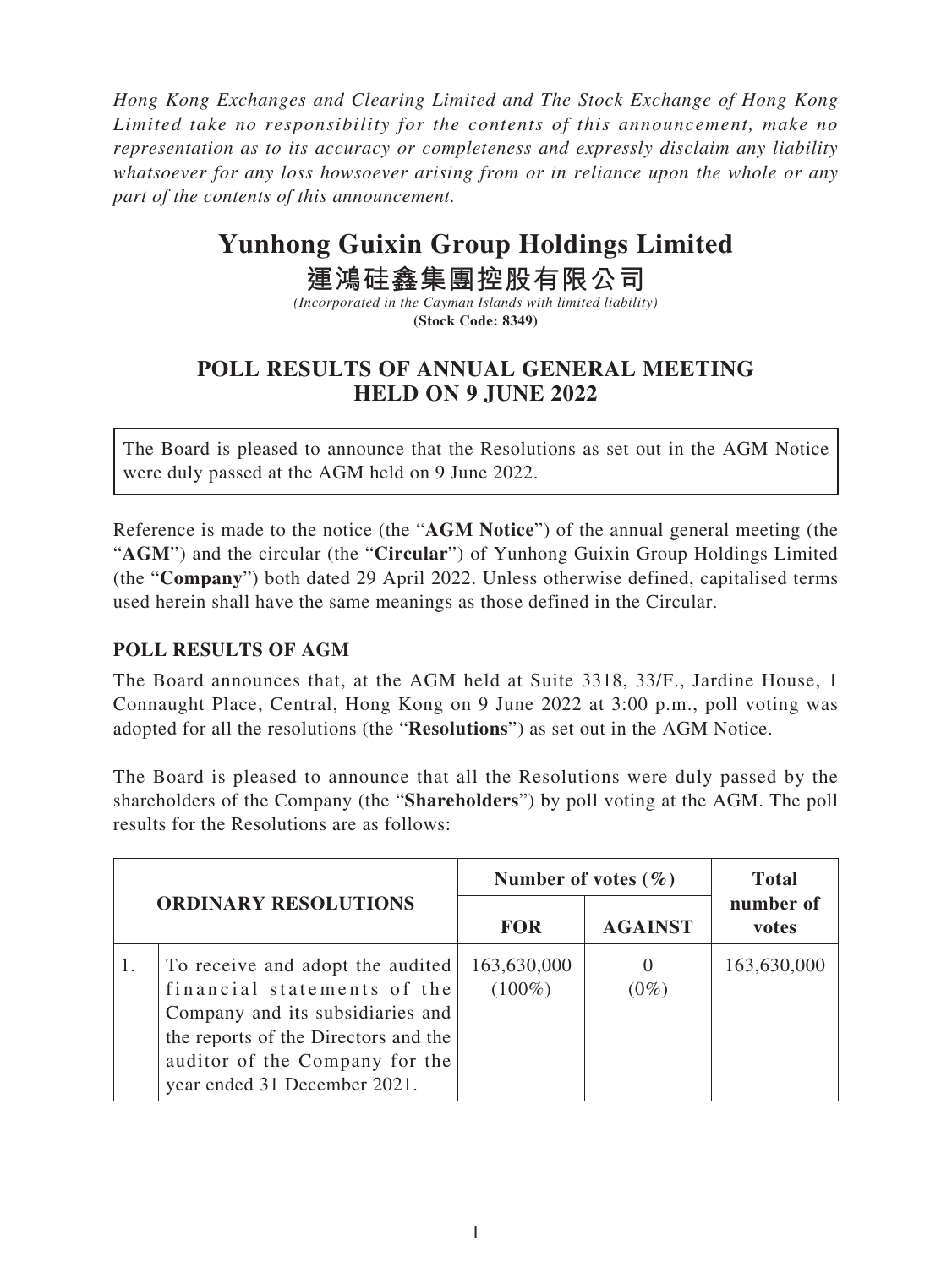*Hong Kong Exchanges and Clearing Limited and The Stock Exchange of Hong Kong Limited take no responsibility for the contents of this announcement, make no representation as to its accuracy or completeness and expressly disclaim any liability whatsoever for any loss howsoever arising from or in reliance upon the whole or any part of the contents of this announcement.*

# **Yunhong Guixin Group Holdings Limited**

## **運鴻硅鑫集團控股有限公司**

*(Incorporated in the Cayman Islands with limited liability)* **(Stock Code: 8349)**

### **POLL RESULTS OF ANNUAL GENERAL MEETING HELD ON 9 JUNE 2022**

The Board is pleased to announce that the Resolutions as set out in the AGM Notice were duly passed at the AGM held on 9 June 2022.

Reference is made to the notice (the "**AGM Notice**") of the annual general meeting (the "**AGM**") and the circular (the "**Circular**") of Yunhong Guixin Group Holdings Limited (the "**Company**") both dated 29 April 2022. Unless otherwise defined, capitalised terms used herein shall have the same meanings as those defined in the Circular.

#### **POLL RESULTS OF AGM**

The Board announces that, at the AGM held at Suite 3318, 33/F., Jardine House, 1 Connaught Place, Central, Hong Kong on 9 June 2022 at 3:00 p.m., poll voting was adopted for all the resolutions (the "**Resolutions**") as set out in the AGM Notice.

The Board is pleased to announce that all the Resolutions were duly passed by the shareholders of the Company (the "**Shareholders**") by poll voting at the AGM. The poll results for the Resolutions are as follows:

| <b>ORDINARY RESOLUTIONS</b> |                                                                                                                                                                                                               | Number of votes $(\% )$  |                | <b>Total</b>       |
|-----------------------------|---------------------------------------------------------------------------------------------------------------------------------------------------------------------------------------------------------------|--------------------------|----------------|--------------------|
|                             |                                                                                                                                                                                                               | <b>FOR</b>               | <b>AGAINST</b> | number of<br>votes |
|                             | To receive and adopt the audited<br>financial statements of the<br>Company and its subsidiaries and<br>the reports of the Directors and the<br>auditor of the Company for the<br>year ended 31 December 2021. | 163,630,000<br>$(100\%)$ | $(0\%)$        | 163,630,000        |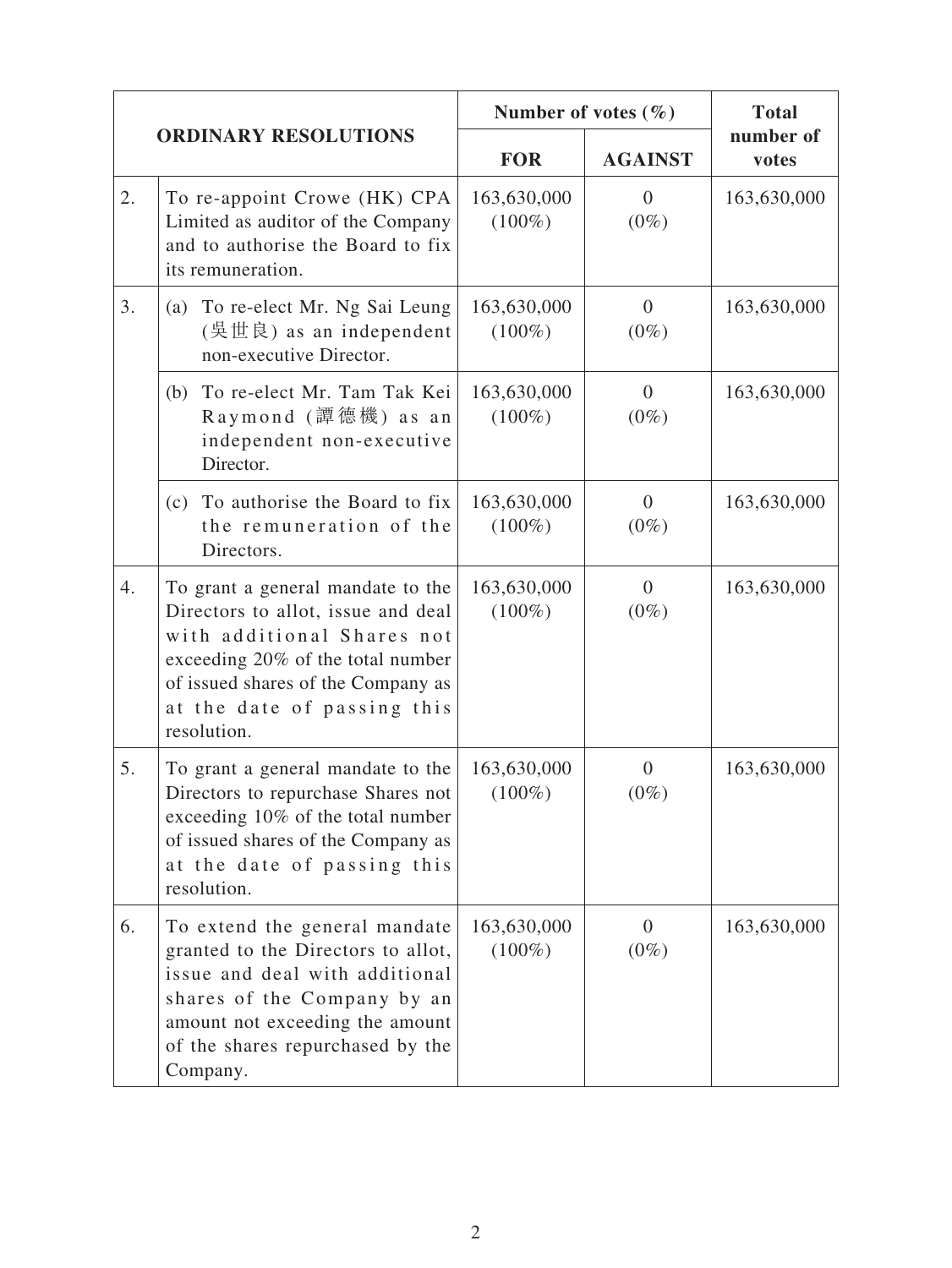| <b>ORDINARY RESOLUTIONS</b> |                                                                                                                                                                                                                                | Number of votes $(\% )$  |                           | <b>Total</b>       |
|-----------------------------|--------------------------------------------------------------------------------------------------------------------------------------------------------------------------------------------------------------------------------|--------------------------|---------------------------|--------------------|
|                             |                                                                                                                                                                                                                                | <b>FOR</b>               | <b>AGAINST</b>            | number of<br>votes |
| 2.                          | To re-appoint Crowe (HK) CPA<br>Limited as auditor of the Company<br>and to authorise the Board to fix<br>its remuneration.                                                                                                    | 163,630,000<br>$(100\%)$ | $\Omega$<br>$(0\%)$       | 163,630,000        |
| 3.                          | To re-elect Mr. Ng Sai Leung<br>(a)<br>non-executive Director.                                                                                                                                                                 | 163,630,000<br>$(100\%)$ | $\overline{0}$<br>$(0\%)$ | 163,630,000        |
|                             | To re-elect Mr. Tam Tak Kei<br>(b)<br>Raymond (譚德機) as an<br>independent non-executive<br>Director.                                                                                                                            | 163,630,000<br>$(100\%)$ | $\overline{0}$<br>$(0\%)$ | 163,630,000        |
|                             | (c) To authorise the Board to fix<br>the remuneration of the<br>Directors.                                                                                                                                                     | 163,630,000<br>$(100\%)$ | $\Omega$<br>$(0\%)$       | 163,630,000        |
| 4.                          | To grant a general mandate to the<br>Directors to allot, issue and deal<br>with additional Shares not<br>exceeding 20% of the total number<br>of issued shares of the Company as<br>at the date of passing this<br>resolution. | 163,630,000<br>$(100\%)$ | $\overline{0}$<br>$(0\%)$ | 163,630,000        |
| 5.                          | To grant a general mandate to the<br>Directors to repurchase Shares not<br>exceeding 10% of the total number<br>of issued shares of the Company as<br>at the date of passing this<br>resolution.                               | 163,630,000<br>$(100\%)$ | $\Omega$<br>$(0\%)$       | 163,630,000        |
| 6.                          | To extend the general mandate<br>granted to the Directors to allot,<br>issue and deal with additional<br>shares of the Company by an<br>amount not exceeding the amount<br>of the shares repurchased by the<br>Company.        | 163,630,000<br>$(100\%)$ | $\overline{0}$<br>$(0\%)$ | 163,630,000        |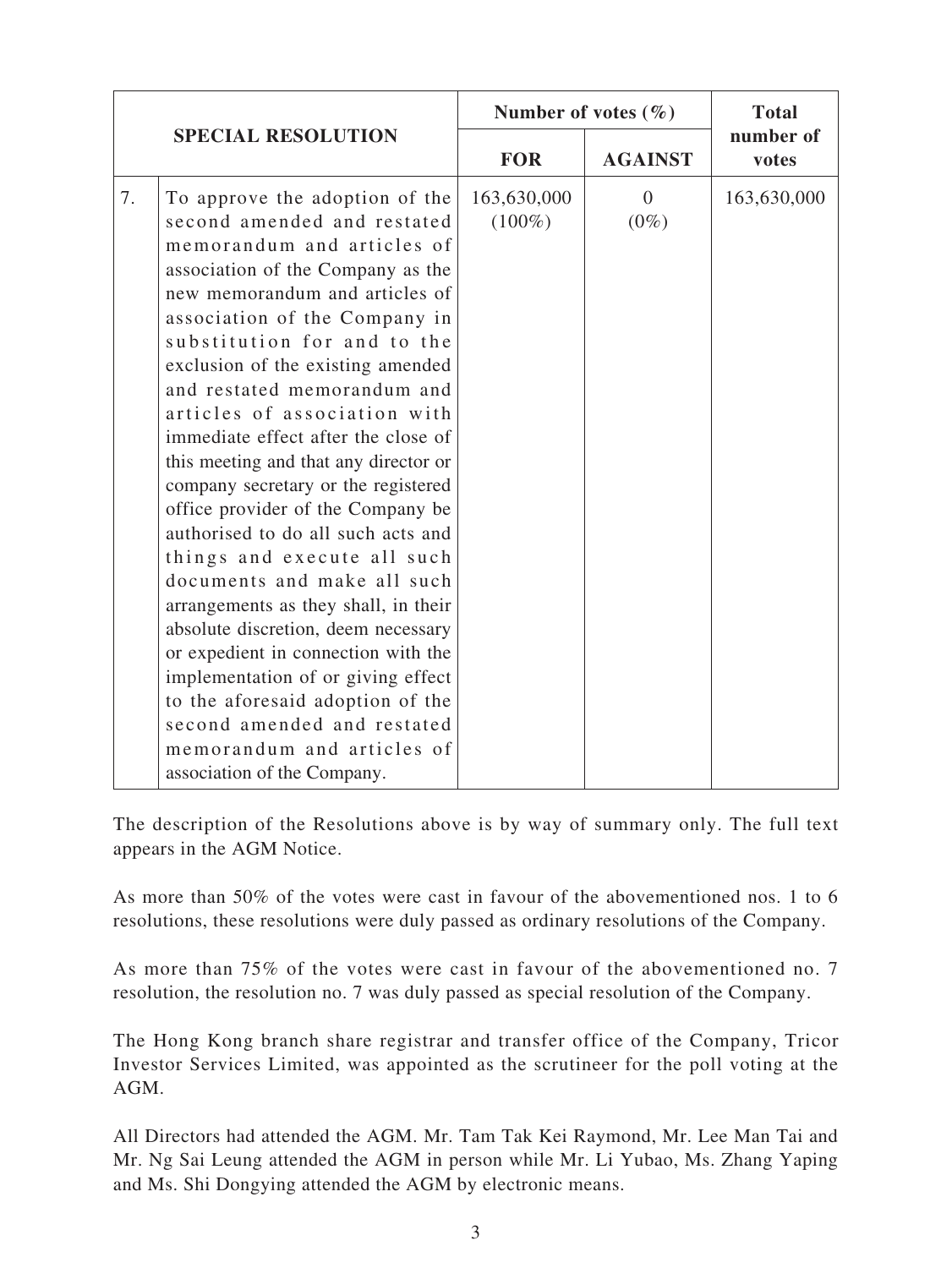| <b>SPECIAL RESOLUTION</b> |                                                                                                                                                                                                                                                                                                                                                                                                                                                                                                                                                                                                                                                                                                                                                                                                                                                                                                    | Number of votes $(\% )$  |                     | <b>Total</b>       |
|---------------------------|----------------------------------------------------------------------------------------------------------------------------------------------------------------------------------------------------------------------------------------------------------------------------------------------------------------------------------------------------------------------------------------------------------------------------------------------------------------------------------------------------------------------------------------------------------------------------------------------------------------------------------------------------------------------------------------------------------------------------------------------------------------------------------------------------------------------------------------------------------------------------------------------------|--------------------------|---------------------|--------------------|
|                           |                                                                                                                                                                                                                                                                                                                                                                                                                                                                                                                                                                                                                                                                                                                                                                                                                                                                                                    | <b>FOR</b>               | <b>AGAINST</b>      | number of<br>votes |
| 7.                        | To approve the adoption of the<br>second amended and restated<br>memorandum and articles of<br>association of the Company as the<br>new memorandum and articles of<br>association of the Company in<br>substitution for and to the<br>exclusion of the existing amended<br>and restated memorandum and<br>articles of association with<br>immediate effect after the close of<br>this meeting and that any director or<br>company secretary or the registered<br>office provider of the Company be<br>authorised to do all such acts and<br>things and execute all such<br>documents and make all such<br>arrangements as they shall, in their<br>absolute discretion, deem necessary<br>or expedient in connection with the<br>implementation of or giving effect<br>to the aforesaid adoption of the<br>second amended and restated<br>memorandum and articles of<br>association of the Company. | 163,630,000<br>$(100\%)$ | $\Omega$<br>$(0\%)$ | 163,630,000        |

The description of the Resolutions above is by way of summary only. The full text appears in the AGM Notice.

As more than 50% of the votes were cast in favour of the abovementioned nos. 1 to 6 resolutions, these resolutions were duly passed as ordinary resolutions of the Company.

As more than 75% of the votes were cast in favour of the abovementioned no. 7 resolution, the resolution no. 7 was duly passed as special resolution of the Company.

The Hong Kong branch share registrar and transfer office of the Company, Tricor Investor Services Limited, was appointed as the scrutineer for the poll voting at the AGM.

All Directors had attended the AGM. Mr. Tam Tak Kei Raymond, Mr. Lee Man Tai and Mr. Ng Sai Leung attended the AGM in person while Mr. Li Yubao, Ms. Zhang Yaping and Ms. Shi Dongying attended the AGM by electronic means.